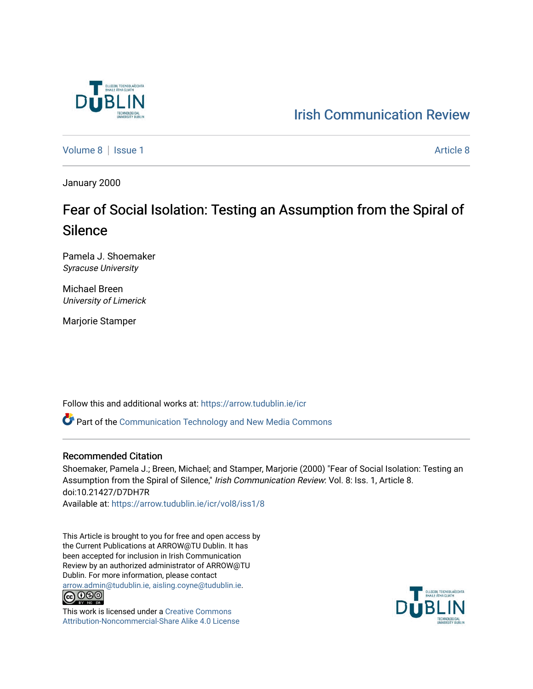

[Irish Communication Review](https://arrow.tudublin.ie/icr) 

[Volume 8](https://arrow.tudublin.ie/icr/vol8) | [Issue 1](https://arrow.tudublin.ie/icr/vol8/iss1) [Article 8](https://arrow.tudublin.ie/icr/vol8/iss1/8) | Article 8 | Article 8 | Article 8 | Article 8 | Article 8 | Article 8 | Article 8 | Article 8 | Article 8 | Article 8 | Article 8 | Article 8 | Article 8 | Article 8 | Article 8 | Article 8 |

January 2000

## Fear of Social Isolation: Testing an Assumption from the Spiral of Silence

Pamela J. Shoemaker Syracuse University

Michael Breen University of Limerick

Marjorie Stamper

Follow this and additional works at: [https://arrow.tudublin.ie/icr](https://arrow.tudublin.ie/icr?utm_source=arrow.tudublin.ie%2Ficr%2Fvol8%2Fiss1%2F8&utm_medium=PDF&utm_campaign=PDFCoverPages) 

Part of the [Communication Technology and New Media Commons](http://network.bepress.com/hgg/discipline/327?utm_source=arrow.tudublin.ie%2Ficr%2Fvol8%2Fiss1%2F8&utm_medium=PDF&utm_campaign=PDFCoverPages) 

#### Recommended Citation

Shoemaker, Pamela J.; Breen, Michael; and Stamper, Marjorie (2000) "Fear of Social Isolation: Testing an Assumption from the Spiral of Silence," Irish Communication Review: Vol. 8: Iss. 1, Article 8. doi:10.21427/D7DH7R Available at: [https://arrow.tudublin.ie/icr/vol8/iss1/8](https://arrow.tudublin.ie/icr/vol8/iss1/8?utm_source=arrow.tudublin.ie%2Ficr%2Fvol8%2Fiss1%2F8&utm_medium=PDF&utm_campaign=PDFCoverPages)

This Article is brought to you for free and open access by the Current Publications at ARROW@TU Dublin. It has been accepted for inclusion in Irish Communication Review by an authorized administrator of ARROW@TU Dublin. For more information, please contact [arrow.admin@tudublin.ie, aisling.coyne@tudublin.ie](mailto:arrow.admin@tudublin.ie,%20aisling.coyne@tudublin.ie).<br>COOO



This work is licensed under a [Creative Commons](http://creativecommons.org/licenses/by-nc-sa/4.0/) [Attribution-Noncommercial-Share Alike 4.0 License](http://creativecommons.org/licenses/by-nc-sa/4.0/)

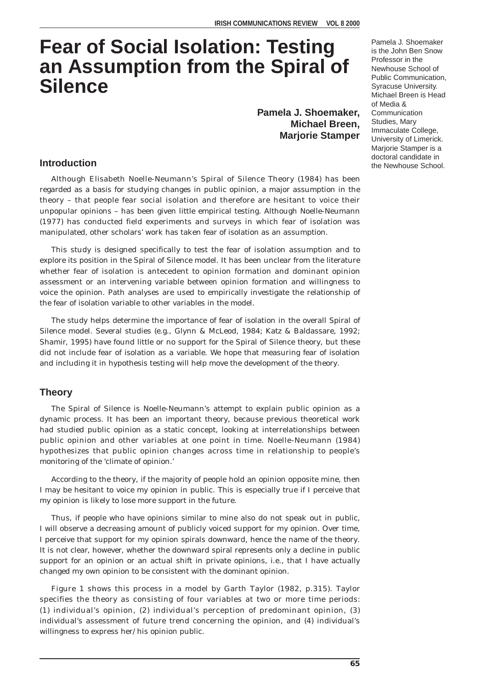# **Fear of Social Isolation: Testing an Assumption from the Spiral of Silence**

**Pamela J. Shoemaker, Michael Breen, Marjorie Stamper**

#### **Introduction**

Although Elisabeth Noelle-Neumann's Spiral of Silence Theory (1984) has been regarded as a basis for studying changes in public opinion, a major assumption in the theory – that people fear social isolation and therefore are hesitant to voice their unpopular opinions – has been given little empirical testing. Although Noelle-Neumann (1977) has conducted field experiments and surveys in which fear of isolation was manipulated, other scholars' work has taken fear of isolation as an assumption.

This study is designed specifically to test the fear of isolation assumption and to explore its position in the Spiral of Silence model. It has been unclear from the literature whether fear of isolation is antecedent to opinion formation and dominant opinion assessment or an intervening variable between opinion formation and willingness to voice the opinion. Path analyses are used to empirically investigate the relationship of the fear of isolation variable to other variables in the model.

The study helps determine the importance of fear of isolation in the overall Spiral of Silence model. Several studies (e.g., Glynn & McLeod, 1984; Katz & Baldassare, 1992; Shamir, 1995) have found little or no support for the Spiral of Silence theory, but these did not include fear of isolation as a variable. We hope that measuring fear of isolation and including it in hypothesis testing will help move the development of the theory.

#### **Theory**

The Spiral of Silence is Noelle-Neumann's attempt to explain public opinion as a dynamic process. It has been an important theory, because previous theoretical work had studied public opinion as a static concept, looking at interrelationships between public opinion and other variables at one point in time. Noelle-Neumann (1984) hypothesizes that public opinion changes across time in relationship to people's monitoring of the 'climate of opinion.'

According to the theory, if the majority of people hold an opinion opposite mine, then I may be hesitant to voice my opinion in public. This is especially true if I perceive that my opinion is likely to lose more support in the future.

Thus, if people who have opinions similar to mine also do not speak out in public, I will observe a decreasing amount of publicly voiced support for my opinion. Over time, I perceive that support for my opinion spirals downward, hence the name of the theory. It is not clear, however, whether the downward spiral represents only a decline in public support for an opinion or an actual shift in private opinions, i.e., that I have actually changed my own opinion to be consistent with the dominant opinion.

Figure 1 shows this process in a model by Garth Taylor (1982, p.315). Taylor specifies the theory as consisting of four variables at two or more time periods: (1) individual's opinion, (2) individual's perception of predominant opinion, (3) individual's assessment of future trend concerning the opinion, and (4) individual's willingness to express her/his opinion public.

Pamela J. Shoemaker is the John Ben Snow Professor in the Newhouse School of Public Communication, Syracuse University. Michael Breen is Head of Media & Communication Studies, Mary Immaculate College, University of Limerick. Marjorie Stamper is a doctoral candidate in the Newhouse School.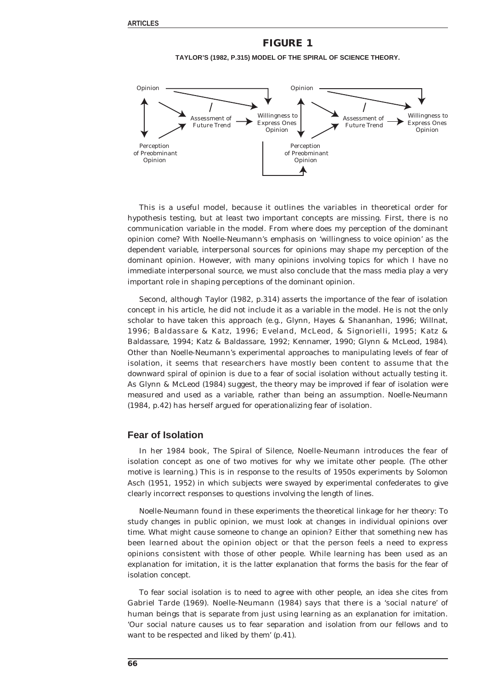### **FIGURE 1 TAYLOR'S (1982, P.315) MODEL OF THE SPIRAL OF SCIENCE THEORY.**



This is a useful model, because it outlines the variables in theoretical order for hypothesis testing, but at least two important concepts are missing. First, there is no communication variable in the model. From where does my perception of the dominant opinion come? With Noelle-Neumann's emphasis on 'willingness to voice opinion' as the dependent variable, interpersonal sources for opinions may shape my perception of the dominant opinion. However, with many opinions involving topics for which I have no immediate interpersonal source, we must also conclude that the mass media play a very important role in shaping perceptions of the dominant opinion.

Second, although Taylor (1982, p.314) asserts the importance of the fear of isolation concept in his article, he did not include it as a variable in the model. He is not the only scholar to have taken this approach (e.g., Glynn, Hayes & Shananhan, 1996; Willnat, 1996; Baldassare & Katz, 1996; Eveland, McLeod, & Signorielli, 1995; Katz & Baldassare, 1994; Katz & Baldassare, 1992; Kennamer, 1990; Glynn & McLeod, 1984). Other than Noelle-Neumann's experimental approaches to manipulating levels of fear of isolation, it seems that researchers have mostly been content to assume that the downward spiral of opinion is due to a fear of social isolation without actually testing it. As Glynn & McLeod (1984) suggest, the theory may be improved if fear of isolation were measured and used as a variable, rather than being an assumption. Noelle-Neumann (1984, p.42) has herself argued for operationalizing fear of isolation.

#### **Fear of Isolation**

In her 1984 book, *The Spiral of Silence*, Noelle-Neumann introduces the fear of isolation concept as one of two motives for why we imitate other people. (The other motive is learning.) This is in response to the results of 1950s experiments by Solomon Asch (1951, 1952) in which subjects were swayed by experimental confederates to give clearly incorrect responses to questions involving the length of lines.

Noelle-Neumann found in these experiments the theoretical linkage for her theory: To study changes in public opinion, we must look at changes in individual opinions over time. What might cause someone to change an opinion? Either that something new has been learned about the opinion object or that the person feels a need to express opinions consistent with those of other people. While learning has been used as an explanation for imitation, it is the latter explanation that forms the basis for the fear of isolation concept.

To fear social isolation is to need to agree with other people, an idea she cites from Gabriel Tarde (1969). Noelle-Neumann (1984) says that there is a 'social nature' of human beings that is separate from just using learning as an explanation for imitation. 'Our social nature causes us to fear separation and isolation from our fellows and to want to be respected and liked by them' (p.41).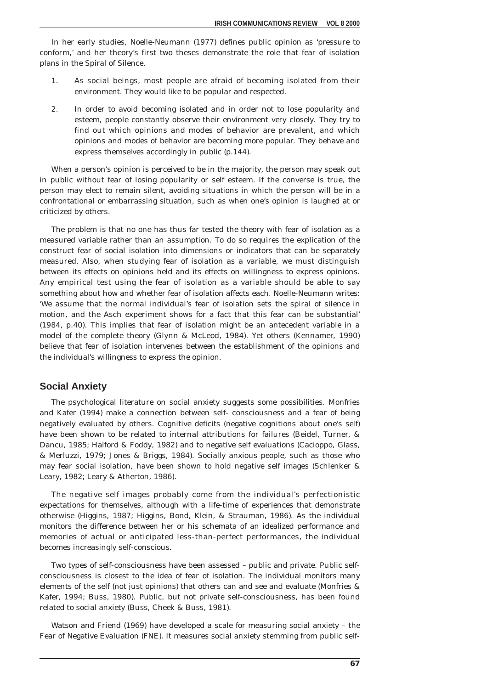In her early studies, Noelle-Neumann (1977) defines public opinion as 'pressure to conform,' and her theory's first two theses demonstrate the role that fear of isolation plans in the Spiral of Silence.

- 1. As social beings, most people are afraid of becoming isolated from their environment. They would like to be popular and respected.
- 2. In order to avoid becoming isolated and in order not to lose popularity and esteem, people constantly observe their environment very closely. They try to find out which opinions and modes of behavior are prevalent, and which opinions and modes of behavior are becoming more popular. They behave and express themselves accordingly in public (p.144).

When a person's opinion is perceived to be in the majority, the person may speak out in public without fear of losing popularity or self esteem. If the converse is true, the person may elect to remain silent, avoiding situations in which the person will be in a confrontational or embarrassing situation, such as when one's opinion is laughed at or criticized by others.

The problem is that no one has thus far tested the theory with fear of isolation as a measured variable rather than an assumption. To do so requires the explication of the construct fear of social isolation into dimensions or indicators that can be separately measured. Also, when studying fear of isolation as a variable, we must distinguish between its effects on opinions held and its effects on willingness to express opinions. Any empirical test using the fear of isolation as a variable should be able to say something about how and whether fear of isolation affects each. Noelle-Neumann writes: 'We assume that the normal individual's fear of isolation sets the spiral of silence in motion, and the Asch experiment shows for a fact that this fear can be substantial' (1984, p.40). This implies that fear of isolation might be an antecedent variable in a model of the complete theory (Glynn & McLeod, 1984). Yet others (Kennamer, 1990) believe that fear of isolation intervenes between the establishment of the opinions and the individual's willingness to express the opinion.

#### **Social Anxiety**

The psychological literature on social anxiety suggests some possibilities. Monfries and Kafer (1994) make a connection between self- consciousness and a fear of being negatively evaluated by others. Cognitive deficits (negative cognitions about one's self) have been shown to be related to internal attributions for failures (Beidel, Turner, & Dancu, 1985; Halford & Foddy, 1982) and to negative self evaluations (Cacioppo, Glass, & Merluzzi, 1979; Jones & Briggs, 1984). Socially anxious people, such as those who may fear social isolation, have been shown to hold negative self images (Schlenker & Leary, 1982; Leary & Atherton, 1986).

The negative self images probably come from the individual's perfectionistic expectations for themselves, although with a life-time of experiences that demonstrate otherwise (Higgins, 1987; Higgins, Bond, Klein, & Strauman, 1986). As the individual monitors the difference between her or his schemata of an idealized performance and memories of actual or anticipated less-than-perfect performances, the individual becomes increasingly self-conscious.

Two types of self-consciousness have been assessed – public and private. Public selfconsciousness is closest to the idea of fear of isolation. The individual monitors many elements of the self (not just opinions) that others can and see and evaluate (Monfries & Kafer, 1994; Buss, 1980). Public, but not private self-consciousness, has been found related to social anxiety (Buss, Cheek & Buss, 1981).

Watson and Friend (1969) have developed a scale for measuring social anxiety – the Fear of Negative Evaluation (FNE). It measures social anxiety stemming from public self-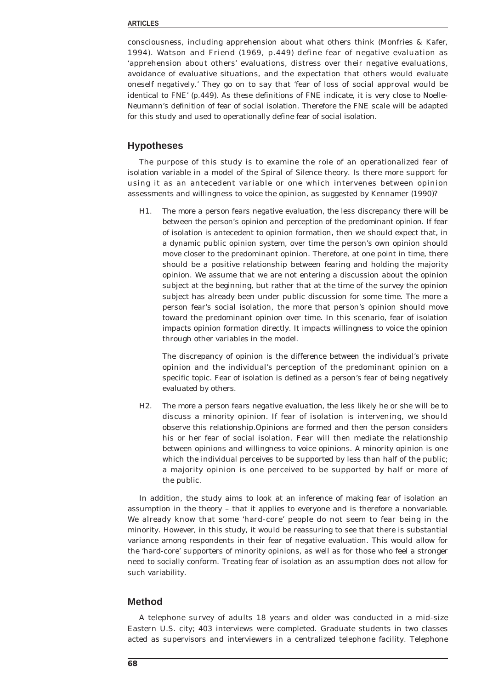#### **ARTICLES**

consciousness, including apprehension about what others think (Monfries & Kafer, 1994). Watson and Friend (1969, p.449) define fear of negative evaluation as 'apprehension about others' evaluations, distress over their negative evaluations, avoidance of evaluative situations, and the expectation that others would evaluate oneself negatively.' They go on to say that 'fear of loss of social approval would be identical to FNE' (p.449). As these definitions of FNE indicate, it is very close to Noelle-Neumann's definition of fear of social isolation. Therefore the FNE scale will be adapted for this study and used to operationally define fear of social isolation.

#### **Hypotheses**

The purpose of this study is to examine the role of an operationalized fear of isolation variable in a model of the Spiral of Silence theory. Is there more support for using it as an antecedent variable or one which intervenes between opinion assessments and willingness to voice the opinion, as suggested by Kennamer (1990)?

H1. *The more a person fears negative evaluation, the less discrepancy there will be between the person's opinion and perception of the predominant opinion.* If fear of isolation is antecedent to opinion formation, then we should expect that, in a dynamic public opinion system, over time the person's own opinion should move closer to the predominant opinion. Therefore, at one point in time, there should be a positive relationship between fearing and holding the majority opinion. We assume that we are not entering a discussion about the opinion subject at the beginning, but rather that at the time of the survey the opinion subject has already been under public discussion for some time. The more a person fear's social isolation, the more that person's opinion should move toward the predominant opinion over time. In this scenario, fear of isolation impacts opinion formation directly. It impacts willingness to voice the opinion through other variables in the model.

The discrepancy of opinion is the difference between the individual's private opinion and the individual's perception of the predominant opinion on a specific topic. Fear of isolation is defined as a person's fear of being negatively evaluated by others.

H2. *The more a person fears negative evaluation, the less likely he or she will be to discuss a minority opinion.* If fear of isolation is intervening, we should observe this relationship.Opinions are formed and then the person considers his or her fear of social isolation. Fear will then mediate the relationship between opinions and willingness to voice opinions. A minority opinion is one which the individual perceives to be supported by less than half of the public; a majority opinion is one perceived to be supported by half or more of the public.

In addition, the study aims to look at an inference of making fear of isolation an assumption in the theory – that it applies to everyone and is therefore a nonvariable. We already know that some 'hard-core' people do not seem to fear being in the minority. However, in this study, it would be reassuring to see that there is substantial variance among respondents in their fear of negative evaluation. This would allow for the 'hard-core' supporters of minority opinions, as well as for those who feel a stronger need to socially conform. Treating fear of isolation as an assumption does not allow for such variability.

#### **Method**

A telephone survey of adults 18 years and older was conducted in a mid-size Eastern U.S. city; 403 interviews were completed. Graduate students in two classes acted as supervisors and interviewers in a centralized telephone facility. Telephone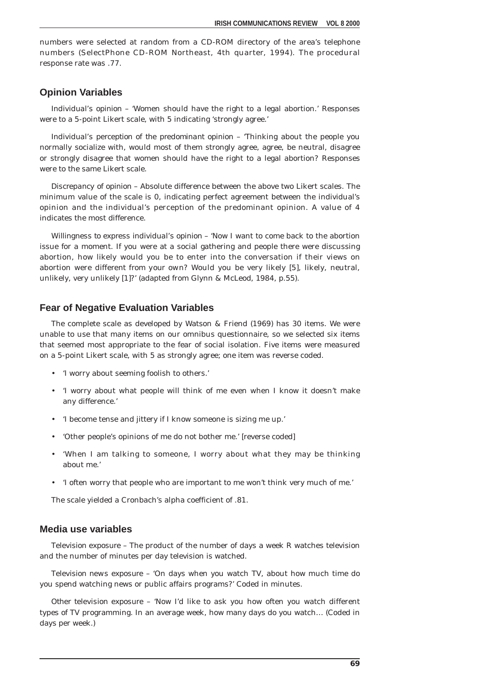numbers were selected at random from a CD-ROM directory of the area's telephone numbers (SelectPhone CD-ROM Northeast, 4th quarter, 1994). The procedural response rate was .77.

#### **Opinion Variables**

*Individual's opinion* – 'Women should have the right to a legal abortion.' Responses were to a 5-point Likert scale, with 5 indicating 'strongly agree.'

*Individual's perception of the predominant opinion* – 'Thinking about the people you normally socialize with, would most of them strongly agree, agree, be neutral, disagree or strongly disagree that women should have the right to a legal abortion? Responses were to the same Likert scale.

*Discrepancy of opinion* – Absolute difference between the above two Likert scales. The minimum value of the scale is 0, indicating perfect agreement between the individual's opinion and the individual's perception of the predominant opinion. A value of 4 indicates the most difference.

*Willingness to express individual's opinion* – 'Now I want to come back to the abortion issue for a moment. If you were at a social gathering and people there were discussing abortion, how *likely* would you be to enter into the conversation if their views on abortion were *different from your own*? Would you be very likely [5], likely, neutral, unlikely, very unlikely [1]?' (adapted from Glynn & McLeod, 1984, p.55).

#### **Fear of Negative Evaluation Variables**

The complete scale as developed by Watson & Friend (1969) has 30 items. We were unable to use that many items on our omnibus questionnaire, so we selected six items that seemed most appropriate to the fear of social isolation. Five items were measured on a 5-point Likert scale, with 5 as strongly agree; one item was reverse coded.

- 'I worry about seeming foolish to others.'
- 'I worry about what people will think of me even when I know it doesn't make any difference.'
- 'I become tense and jittery if I know someone is sizing me up.'
- 'Other people's opinions of me do not bother me.' [reverse coded]
- 'When I am talking to someone, I worry about what they may be thinking about me.'
- 'I often worry that people who are important to me won't think very much of me.'

The scale yielded a Cronbach's alpha coefficient of .81.

#### **Media use variables**

*Television exposure* – The product of the number of days a week R watches television and the number of minutes per day television is watched.

*Television news exposure* – 'On days when you watch TV, about how much time do you spend watching news or public affairs programs?' Coded in minutes.

*Other television exposure* – 'Now I'd like to ask you how often you watch different types of TV programming. In an average week, how many days do you watch… (Coded in days per week.)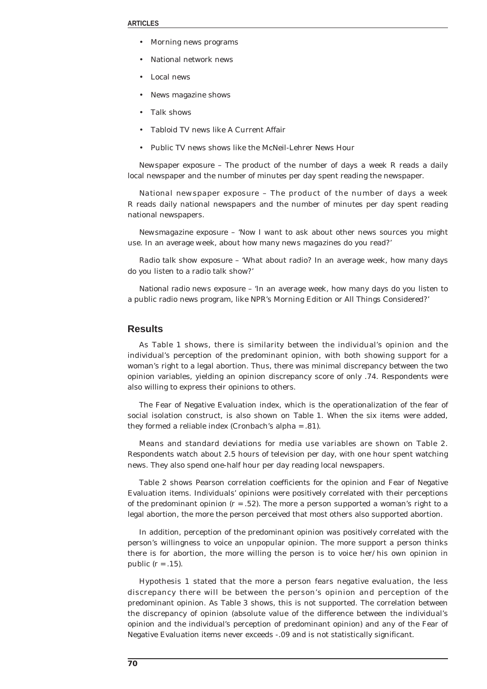- Morning news programs
- National network news
- Local news
- News magazine shows
- Talk shows
- Tabloid TV news like A Current Affair
- Public TV news shows like the McNeil-Lehrer News Hour

*Newspaper exposure* – The product of the number of days a week R reads a daily local newspaper and the number of minutes per day spent reading the newspaper.

*National newspaper exposure* – The product of the number of days a week R reads daily national newspapers and the number of minutes per day spent reading national newspapers.

*Newsmagazine exposure* – 'Now I want to ask about other news sources you might use. In an average *week*, about how many *news magazines* do you read?'

*Radio talk show exposure* – 'What about radio? In an average week, how many days do you listen to a radio talk show?'

*National radio news exposure* – 'In an average week, how many days do you listen to a public radio news program, like NPR's Morning Edition or All Things Considered?'

#### **Results**

As Table 1 shows, there is similarity between the individual's opinion and the individual's perception of the predominant opinion, with both showing support for a woman's right to a legal abortion. Thus, there was minimal discrepancy between the two opinion variables, yielding an opinion discrepancy score of only .74. Respondents were also willing to express their opinions to others.

The Fear of Negative Evaluation index, which is the operationalization of the fear of social isolation construct, is also shown on Table 1. When the six items were added, they formed a reliable index (Cronbach's alpha = .81).

Means and standard deviations for media use variables are shown on Table 2. Respondents watch about 2.5 hours of television per day, with one hour spent watching news. They also spend one-half hour per day reading local newspapers.

Table 2 shows Pearson correlation coefficients for the opinion and Fear of Negative Evaluation items. Individuals' opinions were positively correlated with their perceptions of the predominant opinion  $(r = .52)$ . The more a person supported a woman's right to a legal abortion, the more the person perceived that most others also supported abortion.

In addition, perception of the predominant opinion was positively correlated with the person's willingness to voice an unpopular opinion. The more support a person thinks there is for abortion, the more willing the person is to voice her/his own opinion in public  $(r = .15)$ .

Hypothesis 1 stated that the more a person fears negative evaluation, the less discrepancy there will be between the person's opinion and perception of the predominant opinion. As Table 3 shows, this is not supported. The correlation between the discrepancy of opinion (absolute value of the difference between the individual's opinion and the individual's perception of predominant opinion) and any of the Fear of Negative Evaluation items never exceeds -.09 and is not statistically significant.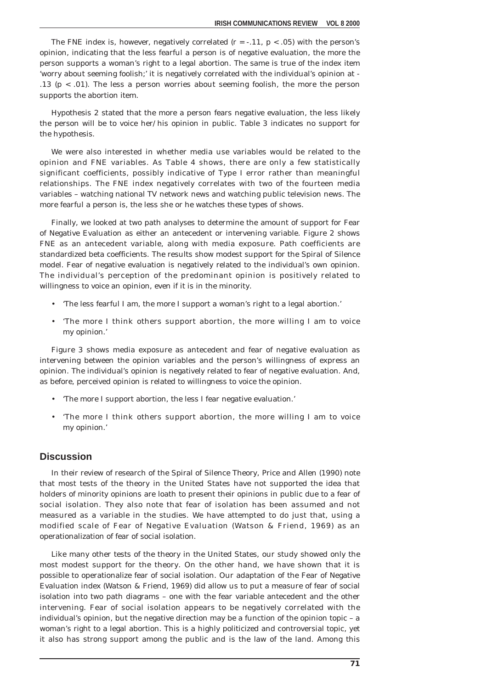The FNE index is, however, negatively correlated ( $r = -0.11$ ,  $p < 0.05$ ) with the person's opinion, indicating that the less fearful a person is of negative evaluation, the more the person supports a woman's right to a legal abortion. The same is true of the index item 'worry about seeming foolish;' it is negatively correlated with the individual's opinion at -.13 (p < .01). The less a person worries about seeming foolish, the more the person supports the abortion item.

Hypothesis 2 stated that the more a person fears negative evaluation, the less likely the person will be to voice her/his opinion in public. Table 3 indicates no support for the hypothesis.

We were also interested in whether media use variables would be related to the opinion and FNE variables. As Table 4 shows, there are only a few statistically significant coefficients, possibly indicative of Type I error rather than meaningful relationships. The FNE index negatively correlates with two of the fourteen media variables – watching national TV network news and watching public television news. The more fearful a person is, the less she or he watches these types of shows.

Finally, we looked at two path analyses to determine the amount of support for Fear of Negative Evaluation as either an antecedent or intervening variable. Figure 2 shows FNE as an antecedent variable, along with media exposure. Path coefficients are standardized beta coefficients. The results show modest support for the Spiral of Silence model. Fear of negative evaluation is negatively related to the individual's own opinion. The individual's perception of the predominant opinion is positively related to willingness to voice an opinion, even if it is in the minority.

- 'The less fearful I am, the more I support a woman's right to a legal abortion.'
- 'The more I think others support abortion, the more willing I am to voice my opinion.'

Figure 3 shows media exposure as antecedent and fear of negative evaluation as intervening between the opinion variables and the person's willingness of express an opinion. The individual's opinion is negatively related to fear of negative evaluation. And, as before, perceived opinion is related to willingness to voice the opinion.

- 'The more I support abortion, the less I fear negative evaluation.'
- 'The more I think others support abortion, the more willing I am to voice my opinion.'

#### **Discussion**

In their review of research of the Spiral of Silence Theory, Price and Allen (1990) note that most tests of the theory in the United States have not supported the idea that holders of minority opinions are loath to present their opinions in public due to a fear of social isolation. They also note that fear of isolation has been assumed and not measured as a variable in the studies. We have attempted to do just that, using a modified scale of Fear of Negative Evaluation (Watson & Friend, 1969) as an operationalization of fear of social isolation.

Like many other tests of the theory in the United States, our study showed only the most modest support for the theory. On the other hand, we have shown that it is possible to operationalize fear of social isolation. Our adaptation of the Fear of Negative Evaluation index (Watson & Friend, 1969) did allow us to put a measure of fear of social isolation into two path diagrams – one with the fear variable antecedent and the other intervening. Fear of social isolation appears to be negatively correlated with the individual's opinion, but the negative direction may be a function of the opinion topic – a woman's right to a legal abortion. This is a highly politicized and controversial topic, yet it also has strong support among the public and is the law of the land. Among this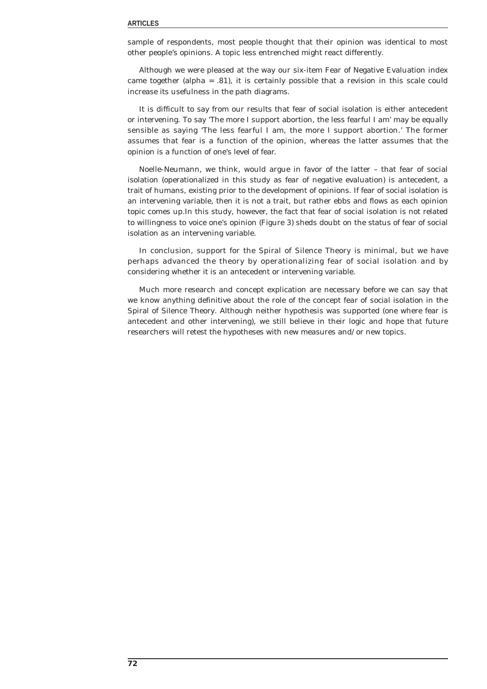sample of respondents, most people thought that their opinion was identical to most other people's opinions. A topic less entrenched might react differently.

Although we were pleased at the way our six-item Fear of Negative Evaluation index came together (alpha = .81), it is certainly possible that a revision in this scale could increase its usefulness in the path diagrams.

It is difficult to say from our results that fear of social isolation is either antecedent or intervening. To say 'The more I support abortion, the less fearful I am' may be equally sensible as saying 'The less fearful I am, the more I support abortion.' The former assumes that fear is a function of the opinion, whereas the latter assumes that the opinion is a function of one's level of fear.

Noelle-Neumann, we think, would argue in favor of the latter – that fear of social isolation (operationalized in this study as fear of negative evaluation) is antecedent, a trait of humans, existing prior to the development of opinions. If fear of social isolation is an intervening variable, then it is not a trait, but rather ebbs and flows as each opinion topic comes up.In this study, however, the fact that fear of social isolation is not related to willingness to voice one's opinion (Figure 3) sheds doubt on the status of fear of social isolation as an intervening variable.

In conclusion, support for the Spiral of Silence Theory is minimal, but we have perhaps advanced the theory by operationalizing fear of social isolation and by considering whether it is an antecedent or intervening variable.

Much more research and concept explication are necessary before we can say that we know anything definitive about the role of the concept *fear of social isolation* in the Spiral of Silence Theory. Although neither hypothesis was supported (one where fear is antecedent and other intervening), we still believe in their logic and hope that future researchers will retest the hypotheses with new measures and/or new topics.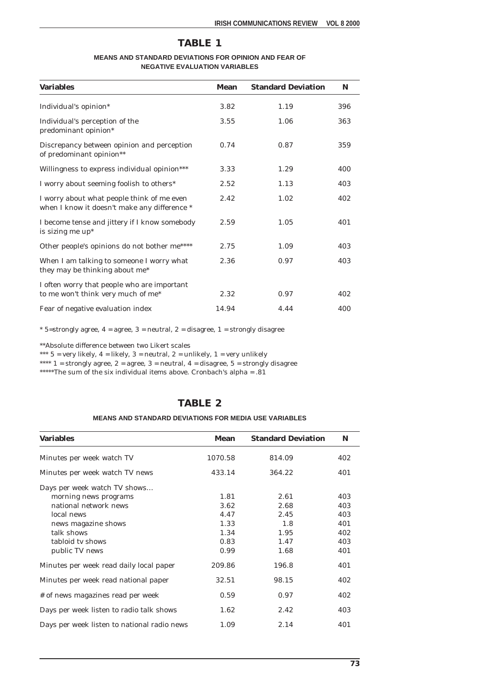## **TABLE 1**

#### **MEANS AND STANDARD DEVIATIONS FOR OPINION AND FEAR OF NEGATIVE EVALUATION VARIABLES**

| <b>Variables</b>                                                                           | Mean  | <b>Standard Deviation</b> | N   |
|--------------------------------------------------------------------------------------------|-------|---------------------------|-----|
| Individual's opinion*                                                                      | 3.82  | 1.19                      | 396 |
| Individual's perception of the<br>predominant opinion*                                     | 3.55  | 1.06                      | 363 |
| Discrepancy between opinion and perception<br>of predominant opinion**                     | 0.74  | 0.87                      | 359 |
| Willingness to express individual opinion***                                               | 3.33  | 1.29                      | 400 |
| I worry about seeming foolish to others*                                                   | 2.52  | 1.13                      | 403 |
| I worry about what people think of me even<br>when I know it doesn't make any difference * | 2.42  | 1.02                      | 402 |
| I become tense and jittery if I know somebody<br>is sizing me up*                          | 2.59  | 1.05                      | 401 |
| Other people's opinions do not bother me****                                               | 2.75  | 1.09                      | 403 |
| When I am talking to someone I worry what<br>they may be thinking about me*                | 2.36  | 0.97                      | 403 |
| I often worry that people who are important<br>to me won't think very much of me*          | 2.32  | 0.97                      | 402 |
| Fear of negative evaluation index                                                          | 14.94 | 4.44                      | 400 |

 $*$  5=strongly agree, 4 = agree, 3 = neutral, 2 = disagree, 1 = strongly disagree

\*\*Absolute difference between two Likert scales

\*\*\*  $5 = \text{very likely}, 4 = \text{likely}, 3 = \text{neutral}, 2 = \text{unlikely}, 1 = \text{very unlikely}$ 

\*\*\*\* 1 = strongly agree, 2 = agree, 3 = neutral, 4 = disagree, 5 = strongly disagree

\*\*\*\*\*The sum of the six individual items above. Cronbach's alpha = .81

## **TABLE 2**

#### **MEANS AND STANDARD DEVIATIONS FOR MEDIA USE VARIABLES**

| <b>Variables</b>                            | Mean    | <b>Standard Deviation</b> | N   |
|---------------------------------------------|---------|---------------------------|-----|
| Minutes per week watch TV                   | 1070.58 | 814.09                    | 402 |
| Minutes per week watch TV news              | 433.14  | 364.22                    | 401 |
| Days per week watch TV shows                |         |                           |     |
| morning news programs                       | 1.81    | 2.61                      | 403 |
| national network news                       | 3.62    | 2.68                      | 403 |
| local news                                  | 4.47    | 2.45                      | 403 |
| news magazine shows                         | 1.33    | 1.8                       | 401 |
| talk shows                                  | 1.34    | 1.95                      | 402 |
| tabloid ty shows                            | 0.83    | 1.47                      | 403 |
| public TV news                              | 0.99    | 1.68                      | 401 |
| Minutes per week read daily local paper     | 209.86  | 196.8                     | 401 |
| Minutes per week read national paper        | 32.51   | 98.15                     | 402 |
| # of news magazines read per week           | 0.59    | 0.97                      | 402 |
| Days per week listen to radio talk shows    | 1.62    | 2.42                      | 403 |
| Days per week listen to national radio news | 1.09    | 2.14                      | 401 |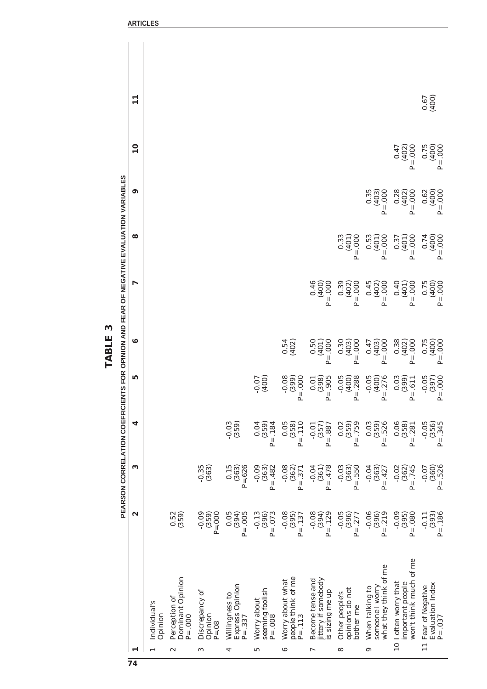|                                |                                                                     |                                 |                                |                                |                                    |                                                   | PEARSON CORRELATION COEFFICIENTS FOR OPINION AND FEAR OF NEGATIVE EVALUATION VARIABLES |                                              |                                     |                             |              |  |
|--------------------------------|---------------------------------------------------------------------|---------------------------------|--------------------------------|--------------------------------|------------------------------------|---------------------------------------------------|----------------------------------------------------------------------------------------|----------------------------------------------|-------------------------------------|-----------------------------|--------------|--|
| ⊣                              |                                                                     | 2                               | 3                              | 4                              | ທ                                  | ٩                                                 | L                                                                                      | 8                                            | ඉ                                   | $\overline{\mathbf{u}}$     | $\mathbf{1}$ |  |
|                                | Individual's<br>Opinion                                             |                                 |                                |                                |                                    |                                                   |                                                                                        |                                              |                                     |                             |              |  |
| $\boldsymbol{\mathsf{\alpha}}$ | Dominant Opinion<br>Perception of<br>$P = .000$                     | 0.52<br>(359)                   |                                |                                |                                    |                                                   |                                                                                        |                                              |                                     |                             |              |  |
| 3                              | Discrepancy of<br>Opinion<br>$P = 0.08$                             | $-0.09$<br>$P = 000$<br>(359)   | $-0.35$<br>(363)               |                                |                                    |                                                   |                                                                                        |                                              |                                     |                             |              |  |
| 4                              | Express Opinion<br>Willingness to<br>$P = .337$                     | 0.05<br>$P = .005$<br>(394)     | 0.15<br>$P = 0.626$<br>(363)   | (359)<br>$-0.03$               |                                    |                                                   |                                                                                        |                                              |                                     |                             |              |  |
| S                              | seeming foolish<br>Worry about<br>$P = .008$                        | $-0.13$<br>$P = 0.073$<br>(396) | $-0.09$<br>$P = .482$<br>(363) | 0.04<br>$P = .184$<br>(359)    | $-0.07$<br>(400)                   |                                                   |                                                                                        |                                              |                                     |                             |              |  |
| ల                              | people think of me<br>Worry about what<br>$P = .113$                | $-0.08$<br>$P = .137$<br>(395)  | $-0.08$<br>(362)<br>$P = .371$ | 0.05<br>$P = .110$<br>(358)    | $-0.08$<br>$P = .000$              | $0.54$<br>(402)                                   |                                                                                        |                                              |                                     |                             |              |  |
| L                              | jittery if somebody<br>Become tense and<br>is sizing me up          | $-0.08$<br>(394)<br>$P = .129$  | $-0.04$<br>$P = .478$<br>(361) | (357)<br>$P = .887$<br>$-0.01$ | $P = .905$<br>0.01<br>(398)        | $0.50$<br>(401)<br>$P = .000$                     | 0.400)<br>$P = .000$                                                                   |                                              |                                     |                             |              |  |
| ∞                              | opinions do not<br>Other people's<br>bother me                      | $-0.05$<br>(396)<br>$P = .277$  | $-0.03$<br>$P = .550$<br>(363) | 0.02<br>$P = .759$<br>(359)    | $-0.05$<br>$P = .288$              | 0.30<br>000<br>(403)<br>$\mathbf{P}^{\mathbf{I}}$ | 0.39<br>000<br>(402)<br>$P_{=}$                                                        | 0.33<br>$000$ .<br>(401)<br>$P_{\rm}$        |                                     |                             |              |  |
| ග                              | what they think of me<br>someone I worry<br>When talking to         | $-0.06$<br>$P = .219$<br>(396)  | $-0.04$<br>(363)<br>$P = .427$ | 0.03<br>$P = .526$<br>(359)    | $-0.05$<br>$P = .276$              | 0.47<br>$000$ .<br>(403)<br>$\overline{P}$        | 0.45<br>$P = .000$<br>(402)                                                            | $\frac{0.53}{(401)}$<br>$000$ .<br>$P_{\rm}$ | $\frac{0.35}{(403)}$<br>$P = .000$  |                             |              |  |
|                                | won't think much of me<br>10 I often worry that<br>important people | $-0.09$<br>$P = .080$<br>(395)  | $-0.02$<br>$P = .745$<br>(362) | 0.06<br>(358)<br>$P = .281$    | $\frac{0.03}{(399)}$<br>$P = .611$ | 0.38<br>000.<br>(402)<br>$P =$                    | 0.40<br>$000$ .<br>(401)<br>$P =$                                                      | 000<br>0.37<br>(401)<br>$P_{\pm}$            | $\frac{0.28}{(402)}$<br>000<br>$P=$ | 0.47<br>$P = .000$<br>(402) |              |  |
|                                | <b>Evaluation Index</b><br>11 Fear of Negative<br>$P = .037$        | $P = .186$<br>(393)<br>$-0.11$  | $-0.07$<br>(360)<br>$P = .526$ | $-0.05$<br>(356)<br>$P = .345$ | $-0.05$<br>$P = .000$<br>(397)     | 0.75<br>$P = .000$<br>(400)                       | 0.75<br>$P = .000$<br>(400)                                                            | 0.74<br>400)<br>$P = .000$                   | $\frac{0.62}{(400)}$<br>$P = .000$  | 0.75<br>(400)<br>$P = .000$ | (400)        |  |

TABLE 3 **TABLE 3**

**PEARSON CORRELATION COEFFICIENTS FOR OPINION AND FEAR OF NEGATIVE EVALUATION VARIABLES**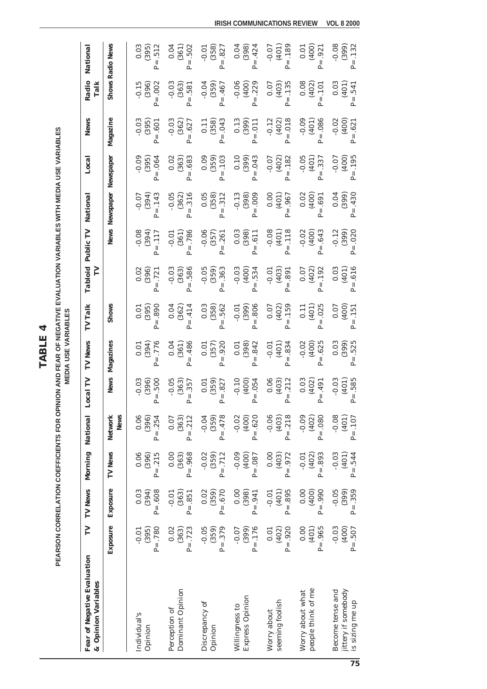**TABLE 4 TABLE 4** PEARSON CORRELATION COEFFICIENTS FOR OPINION AND FEAR OF NEGATIVE EVALUATION VARIABLES WITH MEDIA USE VARIABLES **PEARSON CORRELATION COEFFICIENTS FOR OPINION AND FEAR OF NEGATIVE EVALUATION VARIABLES WITH MEDIA USE VARIABLES**

**MEDIA USE VARIABLES MEDIA USE VARIABLES**

 $P = .512$ **Shows Radio News** 0.03  $(395)$ 0.04  $(361)$  $(358)$  $(398)$  $-0.07$  $(401)$  $0.01$  $(400)$  $-0.08$  $(399)$ National Individual's -0.01 0.03 0.06 0.06 -0.03 0.01 0.01 0.02 -0.08 -0.07 -0.09 -0.03 -0.15 0.03 (596) (396) (396) (396) (496) (396) (396) (396) (396) (396) (396) (396) (396) (396) (395) (395) (395) (395) (3 P= .780 P= .608 P= .215 P= .254 P= .500 P= .776 P= .890 P= .721 P= .117 P= .143 P= .064 P= .601 P= .002 P= .512 Perception of 0.02 -0.01 0.00 0.07 -0.05 0.04 0.04 -0.03 -0.01 -0.05 0.02 -0.03 -0.03 0.04 (198) (398) (398) (398) (398) (398) (398) (398) (398) (398) (398) (3692) (3692) (363) (368) (363) (363) (362) ( P= .723 P= .851 P= .968 P= .212 P= .357 P= .486 P= .414 P= .586 P= .786 P= .316 P= .683 P= .627 P= .581 P= .502  $-0.01$ (359) (359) (359) (359) (359) (359) (359) (359) (359) (359) (359) (359) (359) (359) (359) (359) (359 P= .379 P= .670 P= .712 P= .478 P= .827 P= .920 P= .562 P= .363 P= .261 P= .312 P= .103 P= .043 P= .467 P= .827 0.04 ₹0.0 90'0- 8.I'0 0.I'0 8.I'0- 80'0 8.0'0- I0'0 0.I'0- 3.0'0- 60'0- 0.010 ∠0.0- 0.18 9 (306) (001) (608) (308) (308) (3001) (3001) (308) (3001) (3001) (3001) (308) (308) (308) (3001) (308) (308) (3 P= .176 P= .941 P= .087 P= .620 P= .054 P= .842 P= .806 P= .534 P= .611 P= .009 P= .043 P= .011 P= .229 P= .424 2010- 2010- 2010- 0.010 -0.010- 10.0- 2010- 2010- 9.010 -0.01 -0.01 -0.01 -0.07 -0.07 -0.07 -0.07 -0.07 -0.07 -0<br>2010- 2020- 2020- 0.010 -0.07 -0.07 -0.07 -0.07 -0.07 -0.07 -0.07 -0.07 -0.07 -0.07 -0.07 -0.07 -0.07 -0.07 -(10\$) (303) (304) (10\$) (10\$) (303) (304) (403) (403) (403) (403) (403) (403) (403) (403) (403) (403) (403) (4<br>(103) (402) (402) (402) (402) (402) (402) (402) (402) (402) (402) (402) (402) (402) (402) (402) (402) (402) (4  $P = .189$ P= .920 P= .895 P= .972 P= .218 P= .212 P= .834 P= .159 P= .891 P= .118 P= .967 P= .182 P= .018 P= .135 P= .189 (000) (201) (101) (101) (001) (201) (201) (101) (201) (201) (201) (201) (201) (101) (401) (401) (401  $P = .921$ Become tense and -0.05 -0.04 -0.05 -0.05 -0.03 -0.03 -0.03 -0.03 -0.03 -0.03 -0.03 -0.03 -0.03 -0.02 -0.02 -0.0 (100) (100) (300) (300) (306) (300) (100) (300) (100) (100) (100) (300) (300) (3000) (400-1111.  $P = .132$ is sizing me up P= .507 P= .359 P= .544 P= .107 P= .585 P= .525 P= .151 P= .616 P= .020 P= .430 P= .195 P= .621 P= .541 P= .132*Fear of Negative Evaluation TV TV News Morning National Local TV TV News TV Talk Tabloid Public TV National Local News Radio National* **Exposure Exposure TV News Network News Magazines Shows News Newspaper Newspaper Magazine Shows Radio News**  $P = .502$ TOIO- TUIO 6010 5010- 9010- 9010- 6010 1010 TOIO TOIO 7010- 2010- 2010- 9010- DANSEREGENSION  $P = .827$  $P = .424$ T010 0.000 0.010 0.010 0.010 0.010 0.010 0.010 0.010 0.010 0.010 0.010 0.010 0.010 0.010 0.010 0.010 0.010 0.0 P= .965 P= .990 P= .893 P= .080 P= .491 P= .625 P= .025 P= .192 P= .643 P= .691 P= .337 P= .086 P= .101 P= .921 Radio  $-0.06$  $-0.15$  $-0.03$  $-0.04$  $(359)$  $(400)$ 0.07  $(403)$  $0.08$  $(402)$ 0.03  $(401)$ Talk  $(396)$  $P = .002$  $(363)$  $P = .229$  $P = .135$ *& Opinion Variables TV Talk*  $P = .467$  $P = .101$  $P = .541$  $P = .581$  $-0.12$  $P = .086$  $(358)$ 0.13  $(399)$  $(402)$  $P = .018$  $-0.09$  $(401)$  $(400)$ **News** Magazine  $-0.03$  $(395)$  $-0.03$  $(362)$  $0.11$  $P = .043$  $-0.02$  $P = .601$  $P = .627$  $P = .011$  $P = .621$  $P = .182$  $0.09$  $(359)$  $0.10$  $-0.09$  $(395)$  $P = 0.064$  $0.02$  $(363)$  $P = .103$  $(399)$  $P = .043$  $-0.07$  $(402)$  $-0.05$  $(401)$  $P = .337$  $-0.07$  $(400)$  $P = .195$ Local Newspaper  $P = .683$ Newspaper  $-0.13$  $-0.05$  $(362)$  $P = .316$  $0.05$  $(358)$  $(398)$  $0.00$  $(401)$  $0.02$  $(400)$ 0.04  $(399)$  $P = .430$ National  $-0.07$  $(394)$  $P = .143$  $P = .312$  $P = .009$  $P = .967$  $P = .691$ **News** Public TV  $-0.06$  $(357)$  $\frac{0.03}{(398)}$  $-0.08$  $(401)$  $P = .118$  $(400)$  $-0.12$  $(399)$  $-0.08$  $(394)$  $P = .117$  $-0.01$  $(361)$  $-5.786$  $P = .261$  $P = .611$  $-0.02$  $P = .643$  $P = .020$ Tabloid  $P = .192$  $(401)$  $P = .616$  $\mathbf{r}$  $0.02$  $(396)$  $-0.03$  $(363)$  $-0.05$  $(359)$  $-0.03$  $(400)$  $-0.01$  $(403)$  $0.07$  $(402)$  $0.03$  $P = .721$  $P = .586$  $P = .363$  $P = .534$  $P = .891$  $P = .159$ Shows  $(395)$ 0.04  $(362)$ 0.03  $(358)$  $-0.01$  $(399)$ 0.07  $(402)$  $0.11$  $(401)$ 0.07  $(400)$ **TV Talk**  $0.01$  $e^3 = .890$  $P = .414$  $P = .562$  $P = .806$  $P = .025$  $P = .151$ **News** Magazines  $(394)$ 0.04  $(361)$  $(357)$  $(398)$  $P = .842$  $-0.01$  $(401)$  $P = .834$  $-0.02$  $(400)$  $P = .625$  $0.03$  $(399)$  $P = .525$  $P = .776$  $P = .486$  $0.01$  $P = .920$  $0.01$  $0.01$  $\overline{\mathbf{r}}$ **News**  $P = .500$ Local TV  $-0.03$ <br>(396)  $-0.05$  $(363)$  $(359)$  $-0.10$  $(400)$  $P = .054$ 0.06  $(403)$  $P = .212$  $0.03$  $(402)$  $-0.03$  $(401)$  $P = .357$  $0.01$  $P = .827$  $P = .491$  $P = .585$ **News**  $P = .478$  $-0.02$  $(400)$  $-0.06$  $(403)$  $P = .218$  $-0.09$  $P = .080$  $-0.08$  $(401)$ National **Network** 0.06<br>(396)  $P = .254$  $0.07$  $(363)$  $P = .212$  $-0.04$  $(359)$  $P = .620$  $(402)$  $P = 107$ Morning **News**  $(400)$  $0.06$ <br>(396)  $P = .215$  $0.00$  $(363)$  $P = .968$  $-0.02$  $(359)$  $P = .712$  $-0.09$  $P = .087$  $0.00$  $(403)$  $P = .972$  $(402)$  $P = .893$  $-0.03$  $(401)$  $P = .544$  $-0.01$ È **News**  $0.03$ <br>(394)  $0.02$  $(359)$  $P = .670$  $0.00$ 398)  $P = .895$  $0.00$  $(400)$  $-0.05$  $(399)$  $P = .359$ **Exposure**  $(363)$  $-0.01$  $(401)$  $P = .990$  $P = .608$  $-0.01$  $P = .941$  $P = .851$ N  $-0.01$ <br>(395)  $0.02$  $(363)$  $-0.05$  $(359)$  $(399)$  $P = .920$  $(401)$  $-0.03$  $(400)$ .507  $\mathbf{r}$ Exposure  $P = .379$  $-0.07$  $P = .176$  $(402)$  $0.00$  $P = .780$  $P = .723$  $0.01$  $P = .965$  $P_{\pm}$ Fear of Negative Evaluation & Opinion Variables Worry about what<br>people think of me Dominant Opinion jittery if somebody Become tense and Express Opinion seeming foolish is sizing me up Discrepancy of Willingness to Perception of Worry about Individual's Opinion Opinion

**IRISH COMMUNICATIONS REVIEW VOL 8 2000**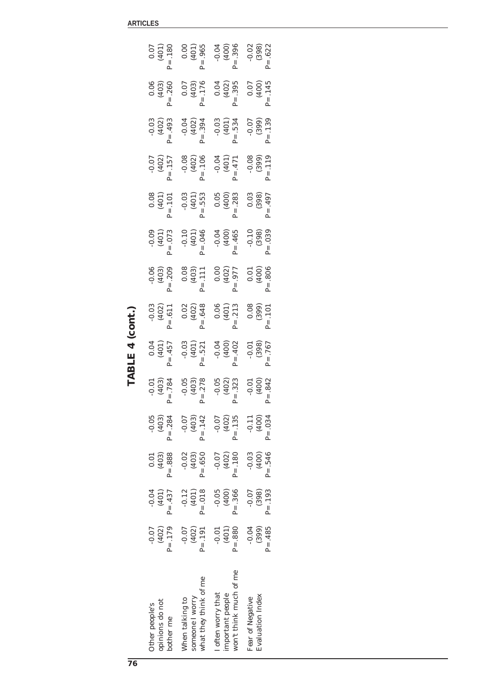| I<br>TARIE <sup>1</sup> |  |
|-------------------------|--|
|                         |  |
|                         |  |
|                         |  |

| opinions do not<br>Other people's<br>bother me                   | $P = .179$<br>$-0.07$<br>(402) | $-0.04$<br>$P = .437$<br>(401) | $P = .888$<br>0.01<br>(403)    | $-0.05$<br>$P = .284$<br>(403) | $P = .784$                  |                                                                | $-0.03$<br>(402)<br>P= .611      | $-0.06$<br>(403)<br>P= .209                                          | $-0.09$<br>(401)<br>P= .073             | $(401)$<br>P= .101           | $-0.07$<br>(402)<br>P= .157 | $-0.03$<br>(402)<br>P= .493 | $0.06$<br>(403)<br>P= .260                                                                         | $(401)$<br>(401)<br>P= .180 |
|------------------------------------------------------------------|--------------------------------|--------------------------------|--------------------------------|--------------------------------|-----------------------------|----------------------------------------------------------------|----------------------------------|----------------------------------------------------------------------|-----------------------------------------|------------------------------|-----------------------------|-----------------------------|----------------------------------------------------------------------------------------------------|-----------------------------|
| what they think of me<br>someone I worry<br>When talking to      | $-0.07$<br>$P = .191$<br>(402) | $P = .018$<br>$-0.12$<br>(401) | $P = .650$<br>$-0.02$<br>(403) | $P = .142$<br>$-0.07$<br>(403) | $-0.05$<br>(403)<br>P= .278 | 0.04<br>(401)<br>P= .457<br>-0.03<br>(401)<br>(401)<br>P= .521 | $0.02$<br>(402)<br>P= .648       | $0.08$<br>(403)<br>P= .111                                           | $-0.10$<br>(401)<br>P= .046             | $-0.03$<br>(401)<br>P= .553  | $-0.08$<br>(402)<br>P= .106 |                             | $\begin{array}{cc} -0.04 & 0.07 \\ (402) & (403) \\ \text{P} = .394 & \text{P} = .176 \end{array}$ | $(401)$<br>(401)<br>P= .965 |
| won't think much of me<br>I often worry that<br>important people | $P = .880$<br>$-0.01$<br>(401) | $P = .366$<br>$-0.05$<br>(400) | $P = .180$<br>$-0.07$<br>(402) | $P = .135$<br>(402)<br>$-0.07$ | $-0.05$<br>(402)<br>P= .323 | $-0.04$<br>(400)<br>P= .402                                    | $(401)$<br>$(401)$<br>$P = .213$ | $(402)$<br>(402)<br>$P = .977$                                       | $-0.04$<br>(400)<br>(400)<br>(465       | $0.05$<br>(400)<br>P= .283   | $P = .471$                  |                             | $-0.03$ 0.04<br>(401) (402)<br>P= .534 P= .395                                                     | $-0.04$<br>(400)<br>P= .396 |
| Evaluation Index<br>Fear of Negative                             | $P = .485$<br>$-0.04$<br>(399) | $P = .193$<br>$-0.07$<br>(398) | $P = .546$<br>$-0.03$<br>(400) | $P = .034$<br>$-0.11$<br>(400) | $-0.01$<br>(400)<br>P= .842 | $(398)$<br>$P = .767$                                          | $(3.08)$<br>(399)<br>P= .101     | $\begin{bmatrix} 1 & 0.01 \\ 0.01 & 0.00 \\ 1 & 0.806 \end{bmatrix}$ | $-0.10$<br>(398)<br>(398)<br>$P = .039$ | $(3.03)$<br>(398)<br>P= .497 | $-0.08$<br>(399)<br>P= .119 | $-0.07$<br>(399)<br>P= .139 | $P = .145$                                                                                         | $-0.02$<br>(398)<br>P= .622 |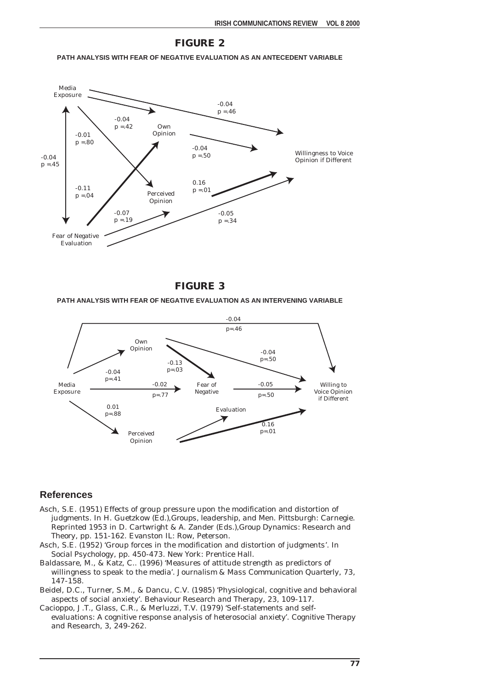#### **FIGURE 2**

#### **PATH ANALYSIS WITH FEAR OF NEGATIVE EVALUATION AS AN ANTECEDENT VARIABLE**





#### **PATH ANALYSIS WITH FEAR OF NEGATIVE EVALUATION AS AN INTERVENING VARIABLE**



#### **References**

- Asch, S.E. (1951) Effects of group pressure upon the modification and distortion of judgments. In H. Guetzkow (Ed.),*Groups, leadership, and Men*. Pittsburgh: Carnegie. Reprinted 1953 in D. Cartwright & A. Zander (Eds.),*Group Dynamics: Research and Theory*, pp. 151-162. Evanston IL: Row, Peterson.
- Asch, S.E. (1952) 'Group forces in the modification and distortion of judgments'. In *Social Psychology*, pp. 450-473. New York: Prentice Hall.
- Baldassare, M., & Katz, C.. (1996) 'Measures of attitude strength as predictors of willingness to speak to the media'. *Journalism & Mass Communication Quarterly*, 73, 147-158.
- Beidel, D.C., Turner, S.M., & Dancu, C.V. (1985) 'Physiological, cognitive and behavioral aspects of social anxiety'. *Behaviour Research and Therapy*, 23, 109-117.
- Cacioppo, J.T., Glass, C.R., & Merluzzi, T.V. (1979) 'Self-statements and selfevaluations: A cognitive response analysis of heterosocial anxiety'. *Cognitive Therapy and Research*, 3, 249-262.